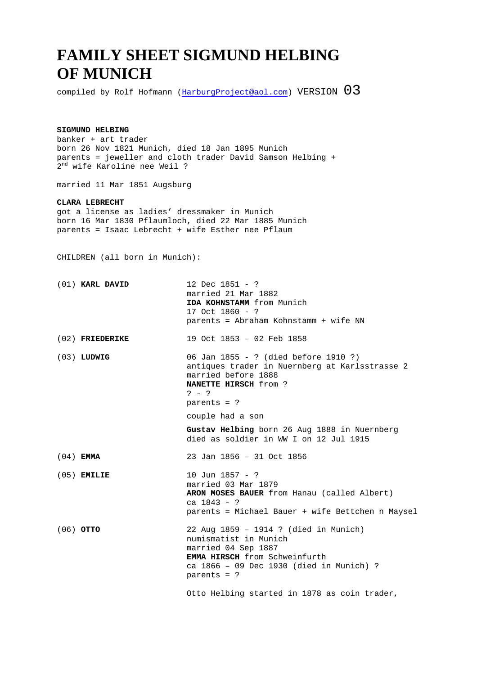## **FAMILY SHEET SIGMUND HELBING OF MUNICH**

compiled by Rolf Hofmann (HarburgProject@aol.com) VERSION  $03$ 

## **SIGMUND HELBING**

banker + art trader born 26 Nov 1821 Munich, died 18 Jan 1895 Munich parents = jeweller and cloth trader David Samson Helbing + 2 nd wife Karoline nee Weil ?

married 11 Mar 1851 Augsburg

## **CLARA LEBRECHT**

got a license as ladies' dressmaker in Munich born 16 Mar 1830 Pflaumloch, died 22 Mar 1885 Munich parents = Isaac Lebrecht + wife Esther nee Pflaum

CHILDREN (all born in Munich):

| (01) KARL DAVID   | 12 Dec $1851 - ?$<br>married 21 Mar 1882<br>IDA KOHNSTAMM from Munich<br>17 Oct 1860 - ?<br>parents = Abraham Kohnstamm + wife NN                                                                                                          |
|-------------------|--------------------------------------------------------------------------------------------------------------------------------------------------------------------------------------------------------------------------------------------|
| $(02)$ FRIEDERIKE | 19 Oct 1853 - 02 Feb 1858                                                                                                                                                                                                                  |
| $(03)$ LUDWIG     | 06 Jan 1855 - ? (died before 1910 ?)<br>antiques trader in Nuernberg at Karlsstrasse 2<br>married before 1888<br><b>NANETTE HIRSCH</b> from ?<br>$? - ?$<br>parents = $?$                                                                  |
|                   | couple had a son                                                                                                                                                                                                                           |
|                   | Gustav Helbing born 26 Aug 1888 in Nuernberg<br>died as soldier in WW I on 12 Jul 1915                                                                                                                                                     |
| $(04)$ EMMA       | 23 Jan 1856 - 31 Oct 1856                                                                                                                                                                                                                  |
| $(05)$ EMILIE     | 10 Jun 1857 - ?<br>married 03 Mar 1879<br>ARON MOSES BAUER from Hanau (called Albert)<br>ca $1843 - ?$<br>parents = Michael Bauer + wife Bettchen n Maysel                                                                                 |
| $(06)$ OTTO       | 22 Aug 1859 - 1914 ? (died in Munich)<br>numismatist in Munich<br>married 04 Sep 1887<br><b>EMMA HIRSCH</b> from Schweinfurth<br>ca 1866 - 09 Dec 1930 (died in Munich) ?<br>parents = $?$<br>Otto Helbing started in 1878 as coin trader, |